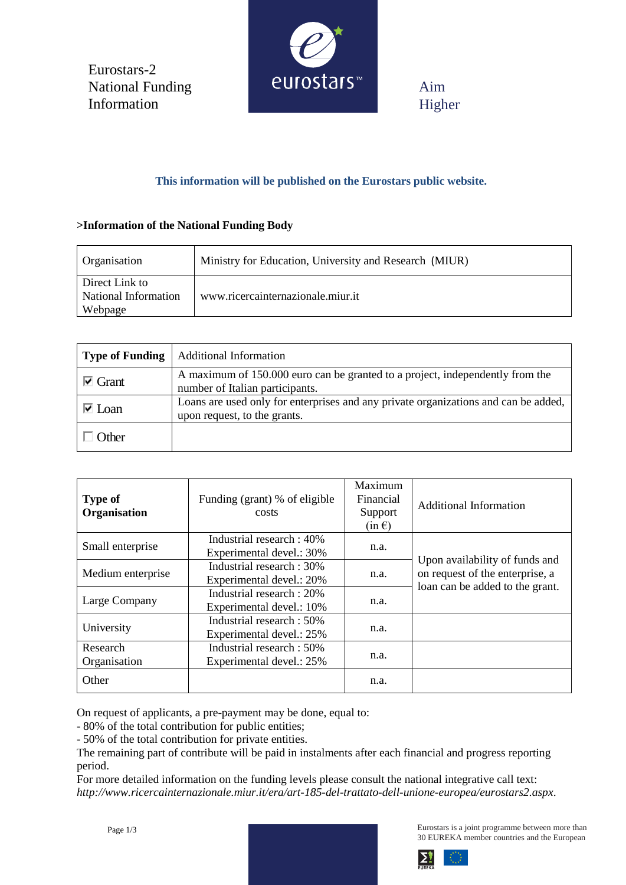Eurostars-2 National Funding Information



Aim Higher

# **This information will be published on the Eurostars public website.**

## **>Information of the National Funding Body**

| Organisation                                      | Ministry for Education, University and Research (MIUR) |  |
|---------------------------------------------------|--------------------------------------------------------|--|
| Direct Link to<br>National Information<br>Webpage | www.ricercainternazionale.miur.it                      |  |

| <b>Type of Funding</b>            | <b>Additional Information</b>                                                                                       |
|-----------------------------------|---------------------------------------------------------------------------------------------------------------------|
| $\overline{\triangleright}$ Grant | A maximum of 150,000 euro can be granted to a project, independently from the<br>number of Italian participants.    |
| $\overline{\triangledown}$ Loan   | Loans are used only for enterprises and any private organizations and can be added,<br>upon request, to the grants. |
| $\cdot$ ther                      |                                                                                                                     |

| <b>Type of</b><br>Organisation | Funding (grant) % of eligible<br>costs                | Maximum<br>Financial<br>Support<br>$(in \in)$ | Additional Information                                                                               |
|--------------------------------|-------------------------------------------------------|-----------------------------------------------|------------------------------------------------------------------------------------------------------|
| Small enterprise               | Industrial research : 40%<br>Experimental devel.: 30% | n.a.                                          | Upon availability of funds and<br>on request of the enterprise, a<br>loan can be added to the grant. |
| Medium enterprise              | Industrial research: 30%<br>Experimental devel.: 20%  | n.a.                                          |                                                                                                      |
| Large Company                  | Industrial research: 20%<br>Experimental devel.: 10%  | n.a.                                          |                                                                                                      |
| University                     | Industrial research: 50%<br>Experimental devel.: 25%  | n.a.                                          |                                                                                                      |
| Research<br>Organisation       | Industrial research: 50%<br>Experimental devel.: 25%  | n.a.                                          |                                                                                                      |
| Other                          |                                                       | n.a.                                          |                                                                                                      |

On request of applicants, a pre-payment may be done, equal to:

- 80% of the total contribution for public entities;

- 50% of the total contribution for private entities.

The remaining part of contribute will be paid in instalments after each financial and progress reporting period.

For more detailed information on the funding levels please consult the national integrative call text: *http://www.ricercainternazionale.miur.it/era/art-185-del-trattato-dell-unione-europea/eurostars2.aspx*.



Eurostars is a joint programme between more than 30 EUREKA member countries and the European

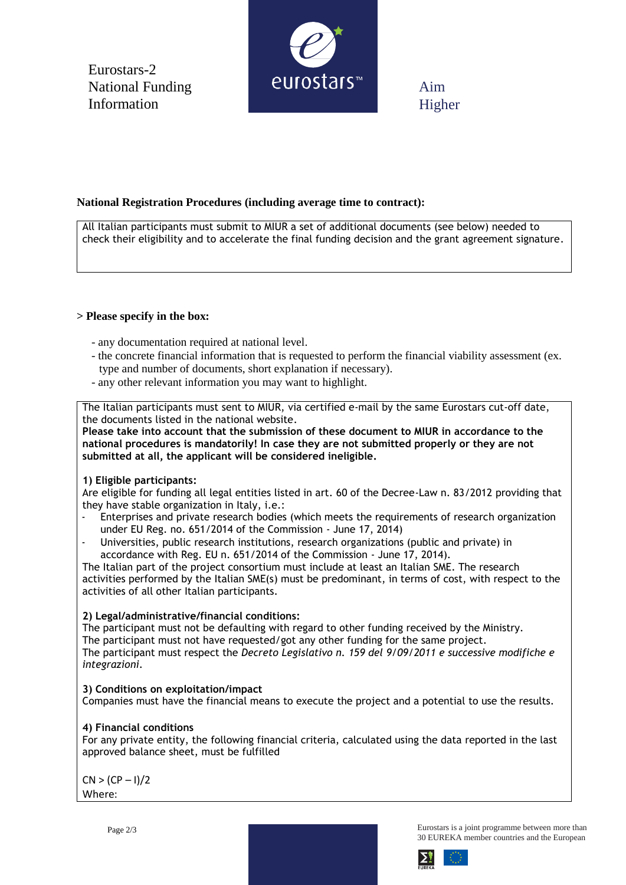Eurostars-2 National Funding Information



Aim Higher

## **National Registration Procedures (including average time to contract):**

All Italian participants must submit to MIUR a set of additional documents (see below) needed to check their eligibility and to accelerate the final funding decision and the grant agreement signature.

## **> Please specify in the box:**

- any documentation required at national level.
- the concrete financial information that is requested to perform the financial viability assessment (ex. type and number of documents, short explanation if necessary).
- any other relevant information you may want to highlight.

The Italian participants must sent to MIUR, via certified e-mail by the same Eurostars cut-off date, the documents listed in the national website.

**Please take into account that the submission of these document to MIUR in accordance to the national procedures is mandatorily! In case they are not submitted properly or they are not submitted at all, the applicant will be considered ineligible.**

#### **1) Eligible participants:**

Are eligible for funding all legal entities listed in art. 60 of the Decree-Law n. 83/2012 providing that they have stable organization in Italy, i.e.:

- Enterprises and private research bodies (which meets the requirements of research organization under EU Reg. no. 651/2014 of the Commission - June 17, 2014)
- Universities, public research institutions, research organizations (public and private) in accordance with Reg. EU n. 651/2014 of the Commission - June 17, 2014).

The Italian part of the project consortium must include at least an Italian SME. The research activities performed by the Italian SME(s) must be predominant, in terms of cost, with respect to the activities of all other Italian participants.

#### **2) Legal/administrative/financial conditions:**

The participant must not be defaulting with regard to other funding received by the Ministry. The participant must not have requested/got any other funding for the same project. The participant must respect the *Decreto Legislativo n. 159 del 9/09/2011 e successive modifiche e integrazioni.*

## **3) Conditions on exploitation/impact**

Companies must have the financial means to execute the project and a potential to use the results.

#### **4) Financial conditions**

For any private entity, the following financial criteria, calculated using the data reported in the last approved balance sheet, must be fulfilled

 $CN > (CP - 1)/2$ Where:

Eurostars is a joint programme between more than 30 EUREKA member countries and the European